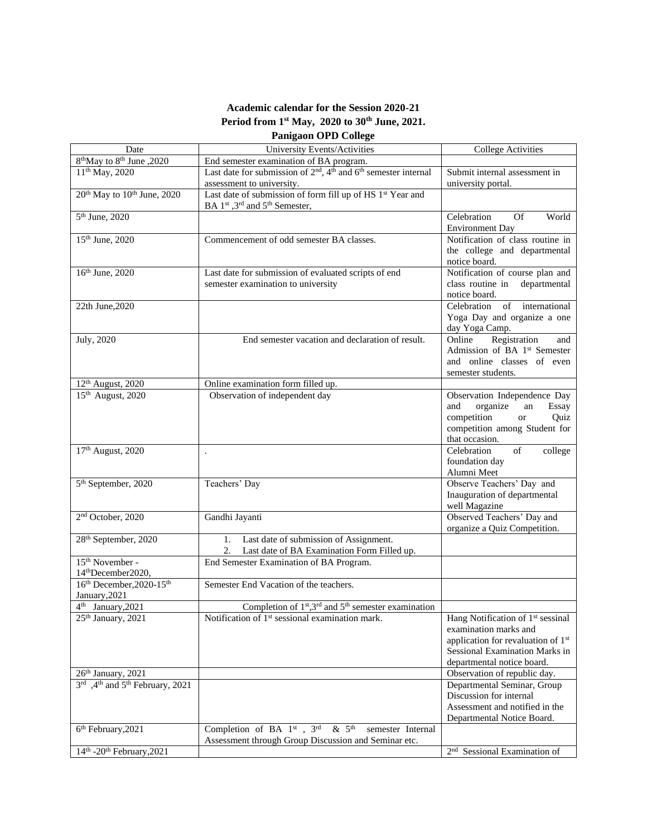## **Academic calendar for the Session 2020-21 Period from 1st May, 2020 to 30th June, 2021. Panigaon OPD College**

Date University Events/Activities College Activities  $\frac{8^{th}$ May to  $8^{th}$  June ,2020<br>11<sup>th</sup> May, 2020 End semester examination of BA program.  $11<sup>th</sup>$  May, 2020 Last date for submission of  $2<sup>nd</sup>$ ,  $4<sup>th</sup>$  and  $6<sup>th</sup>$  semester internal assessment to university. Submit internal assessment in university portal.  $20<sup>th</sup>$  May to  $10<sup>th</sup>$  June, 2020 Last date of submission of form fill up of HS 1<sup>st</sup> Year and BA 1<sup>st</sup>, 3<sup>rd</sup> and 5<sup>th</sup> Semester, Environment Day notice board. semester examination to university notice board. day Yoga Camp. semester students.

|                                                               | BA $1^{\text{st}}$ , 3 <sup>nd</sup> and 5 <sup>th</sup> Semester,                                |                                                                                                                                                                                          |
|---------------------------------------------------------------|---------------------------------------------------------------------------------------------------|------------------------------------------------------------------------------------------------------------------------------------------------------------------------------------------|
| 5 <sup>th</sup> June, 2020                                    |                                                                                                   | Celebration<br>World<br>Of<br><b>Environment Day</b>                                                                                                                                     |
| 15 <sup>th</sup> June, 2020                                   | Commencement of odd semester BA classes.                                                          | Notification of class routine in<br>the college and departmental<br>notice board.                                                                                                        |
| 16th June, 2020                                               | Last date for submission of evaluated scripts of end<br>semester examination to university        | Notification of course plan and<br>class routine in<br>departmental<br>notice board.                                                                                                     |
| 22th June, 2020                                               |                                                                                                   | Celebration<br>international<br>of<br>Yoga Day and organize a one<br>day Yoga Camp.                                                                                                      |
| July, 2020                                                    | End semester vacation and declaration of result.                                                  | Registration<br>Online<br>and<br>Admission of BA 1st Semester<br>and online classes of even<br>semester students.                                                                        |
| 12 <sup>th</sup> August, 2020                                 | Online examination form filled up.                                                                |                                                                                                                                                                                          |
| 15 <sup>th</sup> August, 2020                                 | Observation of independent day                                                                    | Observation Independence Day<br>organize<br>an<br>Essay<br>and<br>competition<br>Quiz<br><sub>or</sub><br>competition among Student for<br>that occasion.                                |
| 17 <sup>th</sup> August, 2020                                 | $\ddot{\phantom{0}}$                                                                              | Celebration<br>of<br>college<br>foundation day<br>Alumni Meet                                                                                                                            |
| 5 <sup>th</sup> September, 2020                               | Teachers' Day                                                                                     | Observe Teachers' Day and<br>Inauguration of departmental<br>well Magazine                                                                                                               |
| 2 <sup>nd</sup> October, 2020                                 | Gandhi Jayanti                                                                                    | Observed Teachers' Day and<br>organize a Quiz Competition.                                                                                                                               |
| 28 <sup>th</sup> September, 2020                              | Last date of submission of Assignment.<br>1.<br>2.<br>Last date of BA Examination Form Filled up. |                                                                                                                                                                                          |
| 15 <sup>th</sup> November -<br>14 <sup>th</sup> December2020, | End Semester Examination of BA Program.                                                           |                                                                                                                                                                                          |
| 16th December, 2020-15th<br>January, 2021                     | Semester End Vacation of the teachers.                                                            |                                                                                                                                                                                          |
| 4 <sup>th</sup> January, 2021                                 | Completion of $1st, 3rd$ and $5th$ semester examination                                           |                                                                                                                                                                                          |
| 25 <sup>th</sup> January, 2021                                | Notification of 1 <sup>st</sup> sessional examination mark.                                       | Hang Notification of 1 <sup>st</sup> sessinal<br>examination marks and<br>application for revaluation of 1 <sup>st</sup><br>Sessional Examination Marks in<br>departmental notice board. |
| 26th January, 2021                                            |                                                                                                   | Observation of republic day.                                                                                                                                                             |
| 3rd ,4th and 5th February, 2021                               |                                                                                                   | Departmental Seminar, Group<br>Discussion for internal<br>Assessment and notified in the<br>Departmental Notice Board.                                                                   |
| 6 <sup>th</sup> February, 2021                                | Completion of BA $1^{st}$ , $3^{rd}$ & $5^{th}$<br>semester Internal                              |                                                                                                                                                                                          |
|                                                               | Assessment through Group Discussion and Seminar etc.                                              |                                                                                                                                                                                          |

nd Sessional Examination of

14<sup>th</sup> -20<sup>th</sup> February, 2021 2